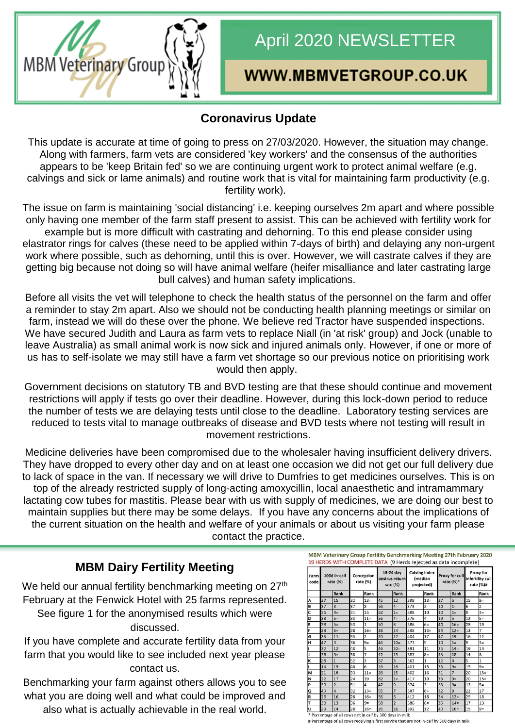

# April 2020 NEWSLETTER

# WWW.MBMVETGROUP.CO.UK

## **Coronavirus Update**

This update is accurate at time of going to press on 27/03/2020. However, the situation may change. Along with farmers, farm vets are considered 'key workers' and the consensus of the authorities appears to be 'keep Britain fed' so we are continuing urgent work to protect animal welfare (e.g. calvings and sick or lame animals) and routine work that is vital for maintaining farm productivity (e.g. fertility work).

The issue on farm is maintaining 'social distancing' i.e. keeping ourselves 2m apart and where possible only having one member of the farm staff present to assist. This can be achieved with fertility work for example but is more difficult with castrating and dehorning. To this end please consider using elastrator rings for calves (these need to be applied within 7-days of birth) and delaying any non-urgent work where possible, such as dehorning, until this is over. However, we will castrate calves if they are getting big because not doing so will have animal welfare (heifer misalliance and later castrating large bull calves) and human safety implications.

Before all visits the vet will telephone to check the health status of the personnel on the farm and offer a reminder to stay 2m apart. Also we should not be conducting health planning meetings or similar on farm, instead we will do these over the phone. We believe red Tractor have suspended inspections. We have secured Judith and Laura as farm vets to replace Niall (in 'at risk' group) and Jock (unable to leave Australia) as small animal work is now sick and injured animals only. However, if one or more of us has to self-isolate we may still have a farm vet shortage so our previous notice on prioritising work would then apply.

Government decisions on statutory TB and BVD testing are that these should continue and movement restrictions will apply if tests go over their deadline. However, during this lock-down period to reduce the number of tests we are delaying tests until close to the deadline. Laboratory testing services are reduced to tests vital to manage outbreaks of disease and BVD tests where not testing will result in movement restrictions.

Medicine deliveries have been compromised due to the wholesaler having insufficient delivery drivers. They have dropped to every other day and on at least one occasion we did not get our full delivery due to lack of space in the van. If necessary we will drive to Dumfries to get medicines ourselves. This is on top of the already restricted supply of long-acting amoxycillin, local anaesthetic and intramammary lactating cow tubes for mastitis. Please bear with us with supply of medicines, we are doing our best to maintain supplies but there may be some delays. If you have any concerns about the implications of the current situation on the health and welfare of your animals or about us visiting your farm please contact the practice.

#### **MBM Dairy Fertility Meeting**

We held our annual fertility benchmarking meeting on  $27<sup>th</sup>$ February at the Fenwick Hotel with 25 farms represented. See figure 1 for the anonymised results which were discussed.

If you have complete and accurate fertility data from your farm that you would like to see included next year please contact us.

Benchmarking your farm against others allows you to see what you are doing well and what could be improved and also what is actually achievable in the real world.

MBM Veterinary Group Fertility Benchmarking Meeting 27th February 2020 19 HERDS WITH COMPLETE DATA (9 Herds rejected as data incomplete)

| Farm<br>code | 100d in-calf<br>rate $(%)$ |                | Conception<br>rate (%) |                         | 18-24 day<br>oestrus return<br>rate (%) |                | Calving index<br>(median<br>projected) |                | Proxy for cull<br>rate $(%)^*$ |                  | Proxy for<br>infertility cull<br>rate (%)# |                |
|--------------|----------------------------|----------------|------------------------|-------------------------|-----------------------------------------|----------------|----------------------------------------|----------------|--------------------------------|------------------|--------------------------------------------|----------------|
|              |                            | Rank           |                        | Rank                    |                                         | Rank           |                                        | Rank           |                                | Rank             |                                            | Rank           |
| A            | 27                         | 15             | 32                     | $13 =$                  | 45                                      | 12             | 398                                    | $13=$          | 27                             | 6                | 15                                         | $9=$           |
| B            | 37                         | 8              | 37                     | 8                       | 56                                      | $4=$           | 373                                    | $\overline{2}$ | 10                             | $1=$             | 6                                          | $\overline{2}$ |
| C            | 36                         | $9=$           | 31                     | 15                      | 62                                      | $1=$           | 388                                    | 10             | 10                             | $1=$             | 9                                          | $3=$           |
| D            | 38                         | $5=$           | 33                     | $11 =$                  | 56                                      | $4=$           | 376                                    | 4              | 19                             | 5                | 12                                         | $5=$           |
| E            | 38                         | $5=$           | 53                     | $\mathbf{1}$            | 50                                      | $\overline{8}$ | 386                                    | $6=$           | 40                             | $16=$            | 28                                         | 19             |
| F            | 38                         | $5=$           | 28                     | $16 =$                  | 38                                      | 14             | 398                                    | $13=$          | 34                             | $12 =$           | 13                                         | $\overline{7}$ |
| G            | 33                         | 11             | 53                     | $\overline{2}$          | 20                                      | 17             | 404                                    | 17             | 47                             | 19               | 16                                         | 12             |
| н            | 47                         | $\overline{3}$ | 36                     | $9=$                    | 46                                      | $10=$          | 377                                    | 5              | 10                             | $1=$             | 9                                          | $3=$           |
|              | 32                         | 12             | 48                     | 5                       | 46                                      | $10=$          | 391                                    | 11             | 35                             | $14 =$           | 19                                         | 14             |
| J            | 36                         | $9=$           | 38                     | $\overline{7}$          | 42                                      | 13             | 387                                    | $8=$           | 45                             | 18               | 14                                         | 8              |
| K            | 58                         | $\overline{1}$ | 52                     | $\overline{\mathbf{3}}$ | 57                                      | $\overline{3}$ | 363                                    | $\mathbf{1}$   | 12                             | 4                | 5                                          | $\mathbf{1}$   |
| ι            | 14                         | 19             | 40                     | 6                       | 16                                      | 18             | 401                                    | 15             | 33                             | $9=$             | 15                                         | $9=$           |
| м            | 21                         | 18             | 33                     | $11 =$                  | 28                                      | 15             | 402                                    | 16             | 31                             | $\overline{7}$   | 20                                         | $15=$          |
| N            | 22                         | 17             | 24                     | 19                      | 62                                      | $1=$           | 417                                    | 19             | 33                             | $9=$             | 20                                         | $15=$          |
| P            | 50                         | $\overline{2}$ | 51                     | $\overline{a}$          | 47                                      | 9              | 374                                    | 3              | 33                             | $9=$             | 12                                         | $5=$           |
| Q            | 40                         | $\overline{4}$ | 32                     | $13 =$                  | 55                                      | $\overline{7}$ | 387                                    | $8=$           | 32                             | $\boldsymbol{8}$ | 22                                         | 17             |
| R            | 26                         | 16             | 28                     | $16=$                   | 56                                      | 6              | 412                                    | 18             | 34                             | $12 =$           | 25                                         | 18             |
| т            | 30                         | 13             | 36                     | $9=$                    | 58                                      | $\overline{2}$ | 386                                    | $6=$           | 35                             | $14=$            | 17                                         | 13             |
| υ            | 29                         | 14             | 28                     | $16 =$                  | 26                                      | 16             | 392                                    | 12             | 40                             | $16=$            | 15                                         | $9=$           |

# Percentage of all cows receiving a first service that are not in-calf by 300 days in milk